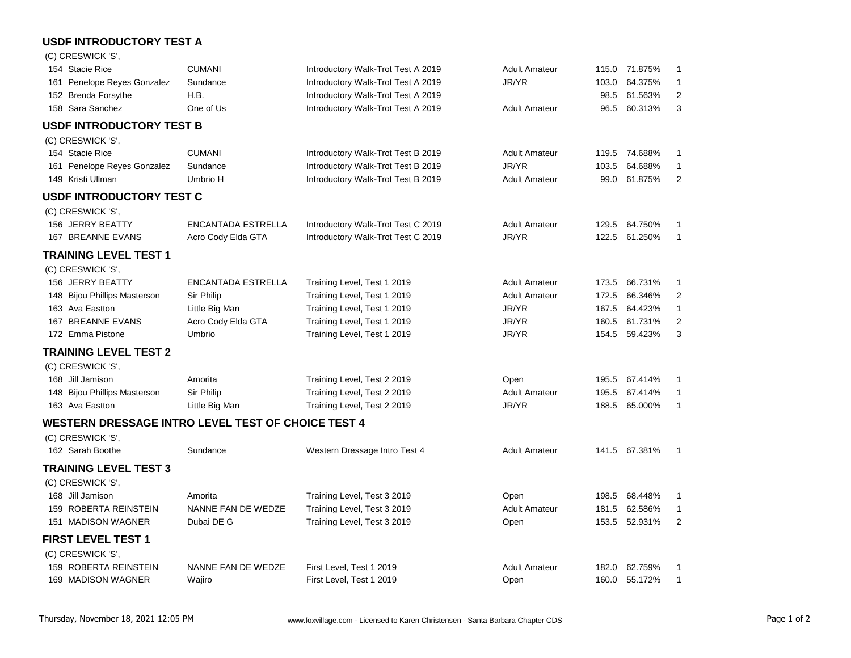## **USDF INTRODUCTORY TEST A**

| (C) CRESWICK 'S',                                         |                           |                                    |                      |       |               |                |
|-----------------------------------------------------------|---------------------------|------------------------------------|----------------------|-------|---------------|----------------|
| 154 Stacie Rice                                           | <b>CUMANI</b>             | Introductory Walk-Trot Test A 2019 | <b>Adult Amateur</b> | 115.0 | 71.875%       | $\mathbf{1}$   |
| 161 Penelope Reyes Gonzalez                               | Sundance                  | Introductory Walk-Trot Test A 2019 | JR/YR                | 103.0 | 64.375%       | $\mathbf{1}$   |
| 152 Brenda Forsythe                                       | H.B.                      | Introductory Walk-Trot Test A 2019 |                      | 98.5  | 61.563%       | $\overline{2}$ |
| 158 Sara Sanchez                                          | One of Us                 | Introductory Walk-Trot Test A 2019 | <b>Adult Amateur</b> | 96.5  | 60.313%       | 3              |
| <b>USDF INTRODUCTORY TEST B</b>                           |                           |                                    |                      |       |               |                |
| (C) CRESWICK 'S',                                         |                           |                                    |                      |       |               |                |
| 154 Stacie Rice                                           | <b>CUMANI</b>             | Introductory Walk-Trot Test B 2019 | <b>Adult Amateur</b> |       | 119.5 74.688% | 1              |
| 161 Penelope Reyes Gonzalez                               | Sundance                  | Introductory Walk-Trot Test B 2019 | JR/YR                | 103.5 | 64.688%       | 1              |
| 149 Kristi Ullman                                         | Umbrio H                  | Introductory Walk-Trot Test B 2019 | <b>Adult Amateur</b> | 99.0  | 61.875%       | 2              |
| <b>USDF INTRODUCTORY TEST C</b>                           |                           |                                    |                      |       |               |                |
| (C) CRESWICK 'S',                                         |                           |                                    |                      |       |               |                |
| 156 JERRY BEATTY                                          | <b>ENCANTADA ESTRELLA</b> | Introductory Walk-Trot Test C 2019 | <b>Adult Amateur</b> | 129.5 | 64.750%       | 1              |
| 167 BREANNE EVANS                                         | Acro Cody Elda GTA        | Introductory Walk-Trot Test C 2019 | JR/YR                | 122.5 | 61.250%       | $\mathbf{1}$   |
| TRAINING LEVEL TEST 1                                     |                           |                                    |                      |       |               |                |
| (C) CRESWICK 'S',                                         |                           |                                    |                      |       |               |                |
| 156 JERRY BEATTY                                          | <b>ENCANTADA ESTRELLA</b> | Training Level, Test 1 2019        | <b>Adult Amateur</b> | 173.5 | 66.731%       | 1              |
| 148 Bijou Phillips Masterson                              | Sir Philip                | Training Level, Test 1 2019        | <b>Adult Amateur</b> | 172.5 | 66.346%       | 2              |
| 163 Ava Eastton                                           | Little Big Man            | Training Level, Test 1 2019        | JR/YR                | 167.5 | 64.423%       | $\mathbf{1}$   |
| 167 BREANNE EVANS                                         | Acro Cody Elda GTA        | Training Level, Test 1 2019        | JR/YR                | 160.5 | 61.731%       | $\overline{2}$ |
| 172 Emma Pistone                                          | Umbrio                    | Training Level, Test 1 2019        | JR/YR                | 154.5 | 59.423%       | 3              |
| <b>TRAINING LEVEL TEST 2</b>                              |                           |                                    |                      |       |               |                |
| (C) CRESWICK 'S',                                         |                           |                                    |                      |       |               |                |
| 168 Jill Jamison                                          | Amorita                   | Training Level, Test 2 2019        | Open                 | 195.5 | 67.414%       | $\mathbf{1}$   |
| 148 Bijou Phillips Masterson                              | Sir Philip                | Training Level, Test 2 2019        | <b>Adult Amateur</b> | 195.5 | 67.414%       | 1              |
| 163 Ava Eastton                                           | Little Big Man            | Training Level, Test 2 2019        | JR/YR                | 188.5 | 65.000%       | $\mathbf{1}$   |
| <b>WESTERN DRESSAGE INTRO LEVEL TEST OF CHOICE TEST 4</b> |                           |                                    |                      |       |               |                |
| (C) CRESWICK 'S',                                         |                           |                                    |                      |       |               |                |
| 162 Sarah Boothe                                          | Sundance                  | Western Dressage Intro Test 4      | <b>Adult Amateur</b> |       | 141.5 67.381% | $\mathbf{1}$   |
| TRAINING LEVEL TEST 3                                     |                           |                                    |                      |       |               |                |
| (C) CRESWICK 'S',                                         |                           |                                    |                      |       |               |                |
| 168 Jill Jamison                                          | Amorita                   | Training Level, Test 3 2019        | Open                 | 198.5 | 68.448%       | $\mathbf{1}$   |
| 159 ROBERTA REINSTEIN                                     | NANNE FAN DE WEDZE        | Training Level, Test 3 2019        | <b>Adult Amateur</b> | 181.5 | 62.586%       | $\mathbf{1}$   |
| 151 MADISON WAGNER                                        | Dubai DE G                | Training Level, Test 3 2019        | Open                 | 153.5 | 52.931%       | $\overline{2}$ |
| <b>FIRST LEVEL TEST 1</b>                                 |                           |                                    |                      |       |               |                |
| (C) CRESWICK 'S',                                         |                           |                                    |                      |       |               |                |
| 159 ROBERTA REINSTEIN                                     | NANNE FAN DE WEDZE        | First Level, Test 1 2019           | <b>Adult Amateur</b> | 182.0 | 62.759%       | 1              |
| 169 MADISON WAGNER                                        | Wajiro                    | First Level, Test 1 2019           | Open                 | 160.0 | 55.172%       | 1              |
|                                                           |                           |                                    |                      |       |               |                |